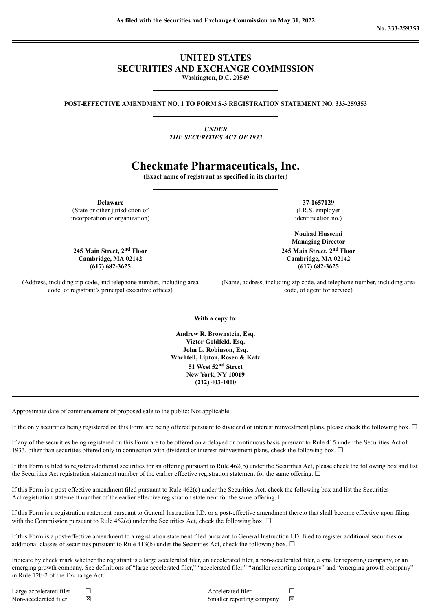## **UNITED STATES SECURITIES AND EXCHANGE COMMISSION Washington, D.C. 20549**

**POST-EFFECTIVE AMENDMENT NO. 1 TO FORM S-3 REGISTRATION STATEMENT NO. 333-259353**

*UNDER THE SECURITIES ACT OF 1933*

# **Checkmate Pharmaceuticals, Inc.**

**(Exact name of registrant as specified in its charter)**

**Delaware 37-1657129**

(State or other jurisdiction of incorporation or organization)

**245 Main Street, 2 (617) 682-3625 (617) 682-3625**

(Address, including zip code, and telephone number, including area code, of registrant's principal executive offices)

(I.R.S. employer identification no.)

**Nouhad Husseini Managing Director nd Floor 245 Main Street, 2 nd Floor Cambridge, MA 02142 Cambridge, MA 02142**

> (Name, address, including zip code, and telephone number, including area code, of agent for service)

**With a copy to:**

**Andrew R. Brownstein, Esq. Victor Goldfeld, Esq. John L. Robinson, Esq. Wachtell, Lipton, Rosen & Katz 51 West 52 nd Street New York, NY 10019 (212) 403-1000**

Approximate date of commencement of proposed sale to the public: Not applicable.

If the only securities being registered on this Form are being offered pursuant to dividend or interest reinvestment plans, please check the following box.  $\Box$ 

If any of the securities being registered on this Form are to be offered on a delayed or continuous basis pursuant to Rule 415 under the Securities Act of 1933, other than securities offered only in connection with dividend or interest reinvestment plans, check the following box. □

If this Form is filed to register additional securities for an offering pursuant to Rule 462(b) under the Securities Act, please check the following box and list the Securities Act registration statement number of the earlier effective registration statement for the same offering.  $\Box$ 

If this Form is a post-effective amendment filed pursuant to Rule 462(c) under the Securities Act, check the following box and list the Securities Act registration statement number of the earlier effective registration statement for the same offering.  $\Box$ 

If this Form is a registration statement pursuant to General Instruction I.D. or a post-effective amendment thereto that shall become effective upon filing with the Commission pursuant to Rule 462(e) under the Securities Act, check the following box.  $\Box$ 

If this Form is a post-effective amendment to a registration statement filed pursuant to General Instruction I.D. filed to register additional securities or additional classes of securities pursuant to Rule 413(b) under the Securities Act, check the following box.  $\Box$ 

Indicate by check mark whether the registrant is a large accelerated filer, an accelerated filer, a non-accelerated filer, a smaller reporting company, or an emerging growth company. See definitions of "large accelerated filer," "accelerated filer," "smaller reporting company" and "emerging growth company" in Rule 12b-2 of the Exchange Act.

Large accelerated filer □ □ □ □ □ △ △ Accelerated filer □ Non-accelerated filer ⊠ Smaller reporting company ⊠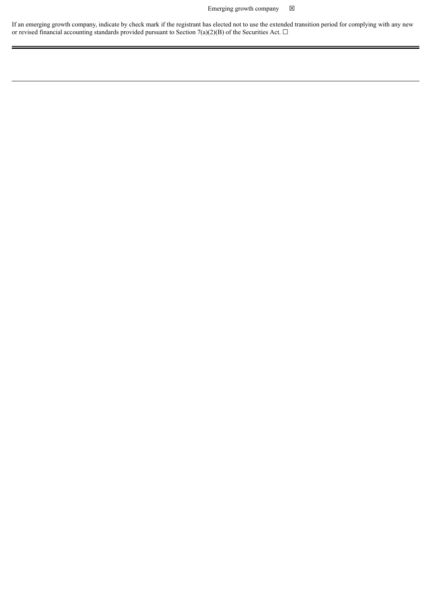## Emerging growth company  $\boxtimes$

If an emerging growth company, indicate by check mark if the registrant has elected not to use the extended transition period for complying with any new or revised financial accounting standards provided pursuant to Section 7(a)(2)(B) of the Securities Act.  $\Box$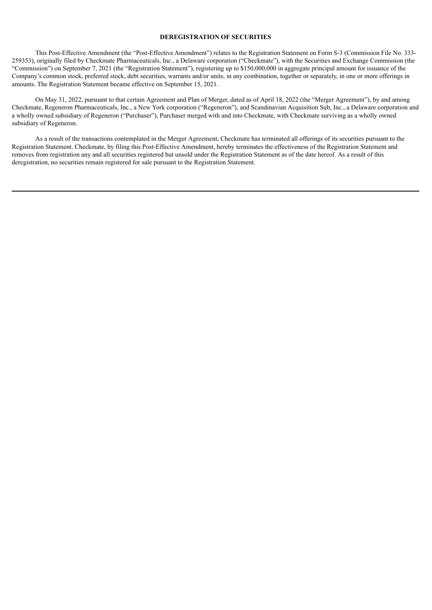#### **DEREGISTRATION OF SECURITIES**

This Post-Effective Amendment (the "Post-Effective Amendment") relates to the Registration Statement on Form S-3 (Commission File No. 333- 259353), originally filed by Checkmate Pharmaceuticals, Inc., a Delaware corporation ("Checkmate"), with the Securities and Exchange Commission (the "Commission") on September 7, 2021 (the "Registration Statement"), registering up to \$150,000,000 in aggregate principal amount for issuance of the Company's common stock, preferred stock, debt securities, warrants and/or units, in any combination, together or separately, in one or more offerings in amounts. The Registration Statement became effective on September 15, 2021.

On May 31, 2022, pursuant to that certain Agreement and Plan of Merger, dated as of April 18, 2022 (the "Merger Agreement"), by and among Checkmate, Regeneron Pharmaceuticals, Inc., a New York corporation ("Regeneron"), and Scandinavian Acquisition Sub, Inc., a Delaware corporation and a wholly owned subsidiary of Regeneron ("Purchaser"), Purchaser merged with and into Checkmate, with Checkmate surviving as a wholly owned subsidiary of Regeneron.

As a result of the transactions contemplated in the Merger Agreement, Checkmate has terminated all offerings of its securities pursuant to the Registration Statement. Checkmate, by filing this Post-Effective Amendment, hereby terminates the effectiveness of the Registration Statement and removes from registration any and all securities registered but unsold under the Registration Statement as of the date hereof. As a result of this deregistration, no securities remain registered for sale pursuant to the Registration Statement.